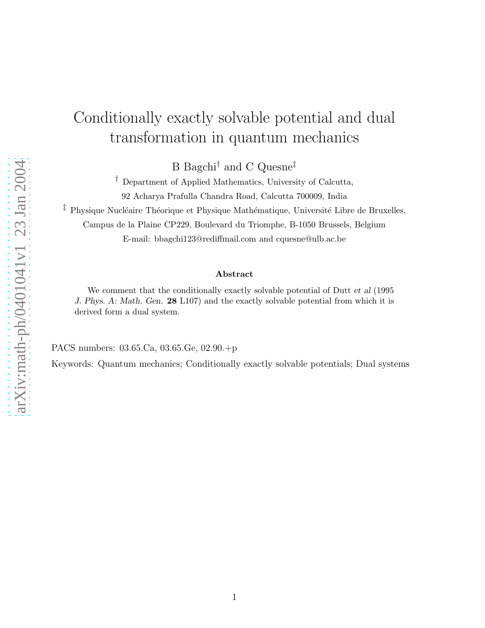## Conditionally exactly solvable potential and dual transformation in quantum mechanics

B Bagchi† and C Quesne‡

† Department of Applied Mathematics, University of Calcutta, 92 Acharya Prafulla Chandra Road, Calcutta 700009, India

<sup> $\ddagger$ </sup> Physique Nucléaire Théorique et Physique Mathématique, Université Libre de Bruxelles,

Campus de la Plaine CP229, Boulevard du Triomphe, B-1050 Brussels, Belgium

E-mail: bbagchi123@rediffmail.com and cquesne@ulb.ac.be

## Abstract

We comment that the conditionally exactly solvable potential of Dutt *et al* (1995 *J. Phys. A: Math. Gen.* 28 L107) and the exactly solvable potential from which it is derived form a dual system.

PACS numbers: 03.65.Ca, 03.65.Ge, 02.90.+p

Keywords: Quantum mechanics; Conditionally exactly solvable potentials; Dual systems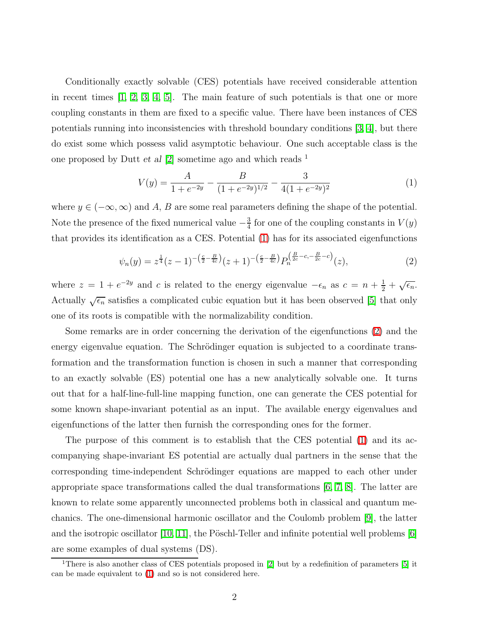Conditionally exactly solvable (CES) potentials have received considerable attention in recent times [\[1,](#page-4-0) [2,](#page-4-1) [3,](#page-4-2) [4,](#page-4-3) [5\]](#page-4-4). The main feature of such potentials is that one or more coupling constants in them are fixed to a specific value. There have been instances of CES potentials running into inconsistencies with threshold boundary conditions [\[3,](#page-4-2) [4\]](#page-4-3), but there do exist some which possess valid asymptotic behaviour. One such acceptable class is the one proposed by Dutt *et al* [\[2\]](#page-4-1) sometime ago and which reads <sup>1</sup>

$$
V(y) = \frac{A}{1 + e^{-2y}} - \frac{B}{(1 + e^{-2y})^{1/2}} - \frac{3}{4(1 + e^{-2y})^2}
$$
(1)

<span id="page-1-1"></span><span id="page-1-0"></span>where  $y \in (-\infty, \infty)$  and A, B are some real parameters defining the shape of the potential. Note the presence of the fixed numerical value  $-\frac{3}{4}$  $\frac{3}{4}$  for one of the coupling constants in  $V(y)$ that provides its identification as a CES. Potential [\(1\)](#page-1-0) has for its associated eigenfunctions

$$
\psi_n(y) = z^{\frac{1}{4}}(z-1)^{-\left(\frac{c}{2}-\frac{B}{4c}\right)}(z+1)^{-\left(\frac{c}{2}-\frac{B}{4c}\right)}P_n^{\left(\frac{B}{2c}-c, -\frac{B}{2c}-c\right)}(z),\tag{2}
$$

where  $z = 1 + e^{-2y}$  and c is related to the energy eigenvalue  $-\epsilon_n$  as  $c = n + \frac{1}{2} + \sqrt{\epsilon_n}$ . Actually  $\sqrt{\epsilon_n}$  satisfies a complicated cubic equation but it has been observed [\[5\]](#page-4-4) that only one of its roots is compatible with the normalizability condition.

Some remarks are in order concerning the derivation of the eigenfunctions [\(2\)](#page-1-1) and the energy eigenvalue equation. The Schrödinger equation is subjected to a coordinate transformation and the transformation function is chosen in such a manner that corresponding to an exactly solvable (ES) potential one has a new analytically solvable one. It turns out that for a half-line-full-line mapping function, one can generate the CES potential for some known shape-invariant potential as an input. The available energy eigenvalues and eigenfunctions of the latter then furnish the corresponding ones for the former.

The purpose of this comment is to establish that the CES potential [\(1\)](#page-1-0) and its accompanying shape-invariant ES potential are actually dual partners in the sense that the corresponding time-independent Schrödinger equations are mapped to each other under appropriate space transformations called the dual transformations [\[6,](#page-4-5) [7,](#page-4-6) [8\]](#page-4-7). The latter are known to relate some apparently unconnected problems both in classical and quantum mechanics. The one-dimensional harmonic oscillator and the Coulomb problem [\[9\]](#page-4-8), the latter and the isotropic oscillator [\[10,](#page-4-9) [11\]](#page-4-10), the Pöschl-Teller and infinite potential well problems [\[6\]](#page-4-5) are some examples of dual systems (DS).

<sup>&</sup>lt;sup>1</sup>There is also another class of CES potentials proposed in  $[2]$  but by a redefinition of parameters  $[5]$  it can be made equivalent to [\(1\)](#page-1-0) and so is not considered here.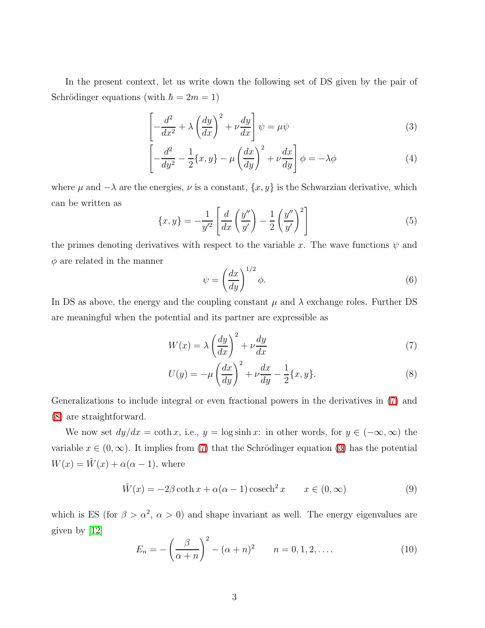<span id="page-2-1"></span>In the present context, let us write down the following set of DS given by the pair of Schrödinger equations (with  $\hbar = 2m = 1$ )

$$
\left[ -\frac{d^2}{dx^2} + \lambda \left( \frac{dy}{dx} \right)^2 + \nu \frac{dy}{dx} \right] \psi = \mu \psi \tag{3}
$$

$$
\left[ -\frac{d^2}{dy^2} - \frac{1}{2} \{x, y\} - \mu \left( \frac{dx}{dy} \right)^2 + \nu \frac{dx}{dy} \right] \phi = -\lambda \phi \tag{4}
$$

<span id="page-2-2"></span>where  $\mu$  and  $-\lambda$  are the energies,  $\nu$  is a constant,  $\{x, y\}$  is the Schwarzian derivative, which can be written as

<span id="page-2-4"></span>
$$
\{x,y\} = -\frac{1}{y'^2} \left[ \frac{d}{dx} \left( \frac{y''}{y'} \right) - \frac{1}{2} \left( \frac{y''}{y'} \right)^2 \right] \tag{5}
$$

the primes denoting derivatives with respect to the variable x. The wave functions  $\psi$  and  $\phi$  are related in the manner

$$
\psi = \left(\frac{dx}{dy}\right)^{1/2} \phi.
$$
\n(6)

<span id="page-2-0"></span>In DS as above, the energy and the coupling constant  $\mu$  and  $\lambda$  exchange roles. Further DS are meaningful when the potential and its partner are expressible as

$$
W(x) = \lambda \left(\frac{dy}{dx}\right)^2 + \nu \frac{dy}{dx}
$$
\n(7)

$$
U(y) = -\mu \left(\frac{dx}{dy}\right)^2 + \nu \frac{dx}{dy} - \frac{1}{2} \{x, y\}.
$$
 (8)

Generalizations to include integral or even fractional powers in the derivatives in [\(7\)](#page-2-0) and [\(8\)](#page-2-0) are straightforward.

We now set  $dy/dx = \coth x$ , i.e.,  $y = \log \sinh x$ : in other words, for  $y \in (-\infty, \infty)$  the variable  $x \in (0, \infty)$ . It implies from [\(7\)](#page-2-0) that the Schrödinger equation [\(3\)](#page-2-1) has the potential  $W(x) = \tilde{W}(x) + \alpha(\alpha - 1)$ , where

$$
\tilde{W}(x) = -2\beta \coth x + \alpha(\alpha - 1)\cosech^2 x \qquad x \in (0, \infty)
$$
\n(9)

<span id="page-2-3"></span>which is ES (for  $\beta > \alpha^2$ ,  $\alpha > 0$ ) and shape invariant as well. The energy eigenvalues are given by [\[12\]](#page-4-11)

$$
E_n = -\left(\frac{\beta}{\alpha+n}\right)^2 - (\alpha+n)^2 \qquad n = 0, 1, 2, \dots \tag{10}
$$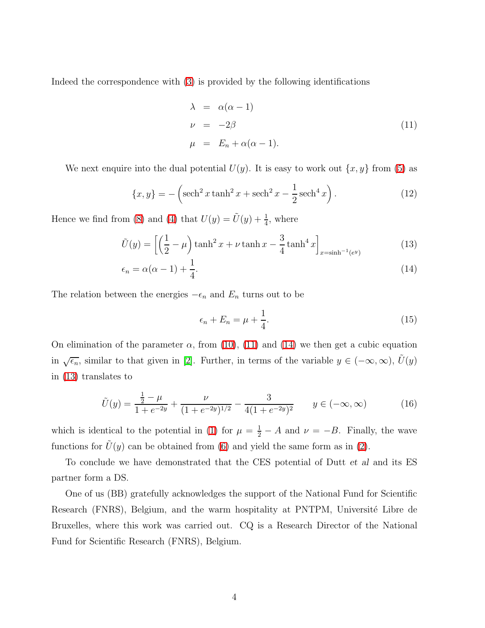Indeed the correspondence with [\(3\)](#page-2-1) is provided by the following identifications

<span id="page-3-0"></span>
$$
\lambda = \alpha(\alpha - 1)
$$
  
\n
$$
\nu = -2\beta
$$
  
\n
$$
\mu = E_n + \alpha(\alpha - 1).
$$
\n(11)

We next enquire into the dual potential  $U(y)$ . It is easy to work out  $\{x, y\}$  from [\(5\)](#page-2-2) as

$$
\{x, y\} = -\left(\text{sech}^2 x \tanh^2 x + \text{sech}^2 x - \frac{1}{2} \text{sech}^4 x\right). \tag{12}
$$

<span id="page-3-1"></span>Hence we find from [\(8\)](#page-2-0) and [\(4\)](#page-2-1) that  $U(y) = \tilde{U}(y) + \frac{1}{4}$ , where

$$
\tilde{U}(y) = \left[ \left( \frac{1}{2} - \mu \right) \tanh^2 x + \nu \tanh x - \frac{3}{4} \tanh^4 x \right]_{x = \sinh^{-1}(e^y)}
$$
\n(13)

$$
\epsilon_n = \alpha(\alpha - 1) + \frac{1}{4}.\tag{14}
$$

The relation between the energies  $-\epsilon_n$  and  $E_n$  turns out to be

$$
\epsilon_n + E_n = \mu + \frac{1}{4}.\tag{15}
$$

On elimination of the parameter  $\alpha$ , from [\(10\)](#page-2-3), [\(11\)](#page-3-0) and [\(14\)](#page-3-1) we then get a cubic equation in  $\sqrt{\epsilon_n}$ , similar to that given in [\[2\]](#page-4-1). Further, in terms of the variable  $y \in (-\infty, \infty)$ ,  $\tilde{U}(y)$ in [\(13\)](#page-3-1) translates to

$$
\tilde{U}(y) = \frac{\frac{1}{2} - \mu}{1 + e^{-2y}} + \frac{\nu}{(1 + e^{-2y})^{1/2}} - \frac{3}{4(1 + e^{-2y})^2} \qquad y \in (-\infty, \infty)
$$
\n(16)

which is identical to the potential in [\(1\)](#page-1-0) for  $\mu = \frac{1}{2} - A$  and  $\nu = -B$ . Finally, the wave functions for  $\tilde{U}(y)$  can be obtained from [\(6\)](#page-2-4) and yield the same form as in [\(2\)](#page-1-1).

To conclude we have demonstrated that the CES potential of Dutt *et al* and its ES partner form a DS.

One of us (BB) gratefully acknowledges the support of the National Fund for Scientific Research (FNRS), Belgium, and the warm hospitality at PNTPM, Université Libre de Bruxelles, where this work was carried out. CQ is a Research Director of the National Fund for Scientific Research (FNRS), Belgium.